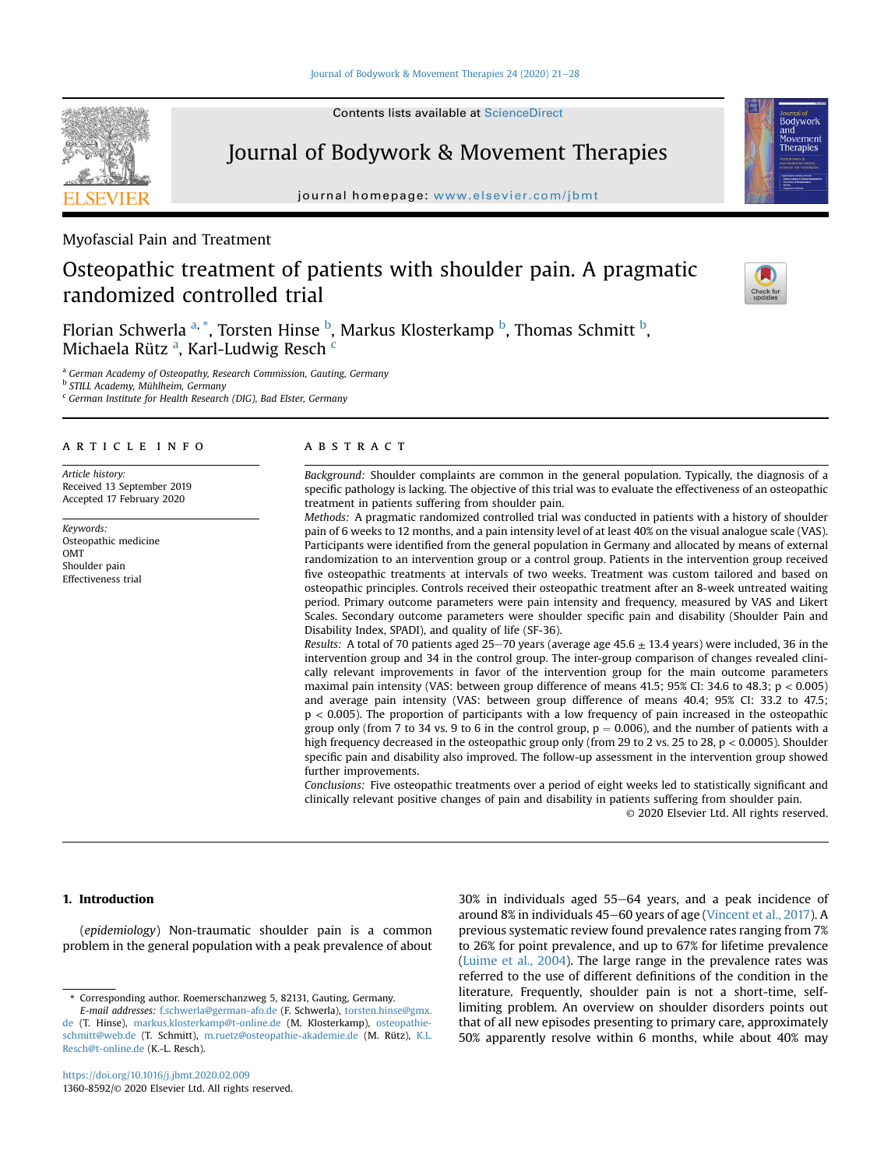Contents lists available at ScienceDirect

# Journal of Bodywork & Movement Therapies

journal homepage: <www.elsevier.com/jbmt>

Myofascial Pain and Treatment

# Osteopathic treatment of patients with shoulder pain. A pragmatic randomized controlled trial

Florian Schwerla <sup>[a,](#page-0-0) [\\*](#page-0-1)</sup>, Torsten Hinse <sup>[b](#page-0-2)</sup>, Markus Klosterkamp <sup>b</sup>, Thomas Schmitt <sup>b</sup>, Mich[a](#page-0-0)ela Rütz <sup>a</sup>, Karl-Ludwig Res[c](#page-0-3)h <sup>c</sup>

<span id="page-0-0"></span>a German Academy of Osteopathy, Research Commission, Gauting, Germany

<span id="page-0-2"></span><sup>b</sup> STILL Academy, Mühlheim, Germany

<span id="page-0-3"></span><sup>c</sup> German Institute for Health Research (DIG), Bad Elster, Germany

# article info

Article history: Received 13 September 2019 Accepted 17 February 2020

Keywords: Osteopathic medicine OMT Shoulder pain Effectiveness trial

# **ABSTRACT**

Background: Shoulder complaints are common in the general population. Typically, the diagnosis of a specific pathology is lacking. The objective of this trial was to evaluate the effectiveness of an osteopathic treatment in patients suffering from shoulder pain.

Methods: A pragmatic randomized controlled trial was conducted in patients with a history of shoulder pain of 6 weeks to 12 months, and a pain intensity level of at least 40% on the visual analogue scale (VAS). Participants were identified from the general population in Germany and allocated by means of external randomization to an intervention group or a control group. Patients in the intervention group received five osteopathic treatments at intervals of two weeks. Treatment was custom tailored and based on osteopathic principles. Controls received their osteopathic treatment after an 8-week untreated waiting period. Primary outcome parameters were pain intensity and frequency, measured by VAS and Likert Scales. Secondary outcome parameters were shoulder specific pain and disability (Shoulder Pain and Disability Index, SPADI), and quality of life (SF-36).

Results: A total of 70 patients aged 25-70 years (average age 45.6  $\pm$  13.4 years) were included, 36 in the intervention group and 34 in the control group. The inter-group comparison of changes revealed clinically relevant improvements in favor of the intervention group for the main outcome parameters maximal pain intensity (VAS: between group difference of means 41.5; 95% CI: 34.6 to 48.3; p < 0.005) and average pain intensity (VAS: between group difference of means 40.4; 95% CI: 33.2 to 47.5; p < 0.005). The proportion of participants with a low frequency of pain increased in the osteopathic group only (from 7 to 34 vs. 9 to 6 in the control group,  $p = 0.006$ ), and the number of patients with a high frequency decreased in the osteopathic group only (from 29 to 2 vs. 25 to 28, p < 0.0005). Shoulder specific pain and disability also improved. The follow-up assessment in the intervention group showed further improvements.

Conclusions: Five osteopathic treatments over a period of eight weeks led to statistically significant and clinically relevant positive changes of pain and disability in patients suffering from shoulder pain.

© 2020 Elsevier Ltd. All rights reserved.

# 1. Introduction

(epidemiology) Non-traumatic shoulder pain is a common problem in the general population with a peak prevalence of about  $30\%$  in individuals aged  $55-64$  years, and a peak incidence of around 8% in individuals 45–60 years of age [\(Vincent et al., 2017](#page-7-0)). A previous systematic review found prevalence rates ranging from 7% to 26% for point prevalence, and up to 67% for lifetime prevalence ([Luime et al., 2004](#page-7-1)). The large range in the prevalence rates was referred to the use of different definitions of the condition in the literature. Frequently, shoulder pain is not a short-time, selflimiting problem. An overview on shoulder disorders points out that of all new episodes presenting to primary care, approximately 50% apparently resolve within 6 months, while about 40% may





<span id="page-0-1"></span><sup>\*</sup> Corresponding author. Roemerschanzweg 5, 82131, Gauting, Germany.

E-mail addresses: [f.schwerla@german-afo.de](mailto:f.schwerla@german-afo.de) (F. Schwerla), [torsten.hinse@gmx.](mailto:torsten.hinse@gmx.de) [de](mailto:torsten.hinse@gmx.de) (T. Hinse), [markus.klosterkamp@t-online.de](mailto:markus.klosterkamp@t-online.de) (M. Klosterkamp), [osteopathie](mailto:osteopathie-schmitt@web.de)[schmitt@web.de](mailto:osteopathie-schmitt@web.de) (T. Schmitt), [m.ruetz@osteopathie-akademie.de](mailto:m.ruetz@osteopathie-akademie.de) (M. Rütz), [K.L.](mailto:K.L.Resch@t-online.de) [Resch@t-online.de](mailto:K.L.Resch@t-online.de) (K.-L. Resch).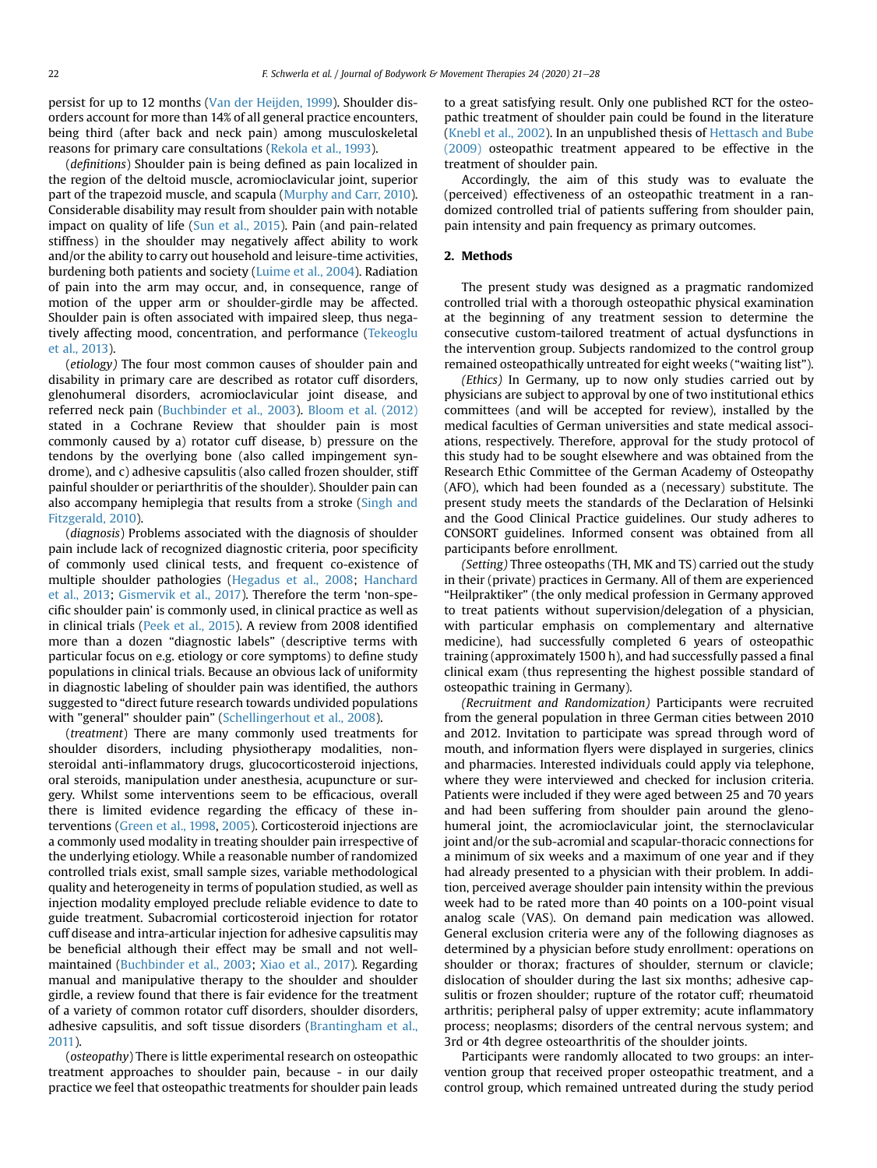persist for up to 12 months [\(Van der Heijden, 1999\)](#page-7-2). Shoulder disorders account for more than 14% of all general practice encounters, being third (after back and neck pain) among musculoskeletal reasons for primary care consultations ([Rekola et al., 1993](#page-7-3)).

(definitions) Shoulder pain is being defined as pain localized in the region of the deltoid muscle, acromioclavicular joint, superior part of the trapezoid muscle, and scapula ([Murphy and Carr, 2010\)](#page-7-4). Considerable disability may result from shoulder pain with notable impact on quality of life [\(Sun et al., 2015](#page-7-5)). Pain (and pain-related stiffness) in the shoulder may negatively affect ability to work and/or the ability to carry out household and leisure-time activities, burdening both patients and society [\(Luime et al., 2004\)](#page-7-1). Radiation of pain into the arm may occur, and, in consequence, range of motion of the upper arm or shoulder-girdle may be affected. Shoulder pain is often associated with impaired sleep, thus negatively affecting mood, concentration, and performance [\(Tekeoglu](#page-7-6) [et al., 2013\)](#page-7-6).

(etiology) The four most common causes of shoulder pain and disability in primary care are described as rotator cuff disorders, glenohumeral disorders, acromioclavicular joint disease, and referred neck pain ([Buchbinder et al., 2003](#page-7-7)). [Bloom et al. \(2012\)](#page-7-8) stated in a Cochrane Review that shoulder pain is most commonly caused by a) rotator cuff disease, b) pressure on the tendons by the overlying bone (also called impingement syndrome), and c) adhesive capsulitis (also called frozen shoulder, stiff painful shoulder or periarthritis of the shoulder). Shoulder pain can also accompany hemiplegia that results from a stroke ([Singh and](#page-7-9) [Fitzgerald, 2010\)](#page-7-9).

(diagnosis) Problems associated with the diagnosis of shoulder pain include lack of recognized diagnostic criteria, poor specificity of commonly used clinical tests, and frequent co-existence of multiple shoulder pathologies ([Hegadus et al., 2008](#page-7-10); [Hanchard](#page-7-11) [et al., 2013;](#page-7-11) [Gismervik et al., 2017\)](#page-7-12). Therefore the term 'non-specific shoulder pain' is commonly used, in clinical practice as well as in clinical trials [\(Peek et al., 2015\)](#page-7-13). A review from 2008 identified more than a dozen "diagnostic labels" (descriptive terms with particular focus on e.g. etiology or core symptoms) to define study populations in clinical trials. Because an obvious lack of uniformity in diagnostic labeling of shoulder pain was identified, the authors suggested to "direct future research towards undivided populations with "general" shoulder pain" ([Schellingerhout et al., 2008](#page-7-14)).

(treatment) There are many commonly used treatments for shoulder disorders, including physiotherapy modalities, nonsteroidal anti-inflammatory drugs, glucocorticosteroid injections, oral steroids, manipulation under anesthesia, acupuncture or surgery. Whilst some interventions seem to be efficacious, overall there is limited evidence regarding the efficacy of these interventions [\(Green et al., 1998,](#page-7-15) [2005](#page-7-16)). Corticosteroid injections are a commonly used modality in treating shoulder pain irrespective of the underlying etiology. While a reasonable number of randomized controlled trials exist, small sample sizes, variable methodological quality and heterogeneity in terms of population studied, as well as injection modality employed preclude reliable evidence to date to guide treatment. Subacromial corticosteroid injection for rotator cuff disease and intra-articular injection for adhesive capsulitis may be beneficial although their effect may be small and not wellmaintained ([Buchbinder et al., 2003;](#page-7-7) [Xiao et al., 2017\)](#page-7-17). Regarding manual and manipulative therapy to the shoulder and shoulder girdle, a review found that there is fair evidence for the treatment of a variety of common rotator cuff disorders, shoulder disorders, adhesive capsulitis, and soft tissue disorders ([Brantingham et al.,](#page-7-18) [2011\)](#page-7-18).

(osteopathy) There is little experimental research on osteopathic treatment approaches to shoulder pain, because - in our daily practice we feel that osteopathic treatments for shoulder pain leads to a great satisfying result. Only one published RCT for the osteopathic treatment of shoulder pain could be found in the literature ([Knebl et al., 2002](#page-7-19)). In an unpublished thesis of [Hettasch and Bube](#page-7-20) [\(2009\)](#page-7-20) osteopathic treatment appeared to be effective in the treatment of shoulder pain.

Accordingly, the aim of this study was to evaluate the (perceived) effectiveness of an osteopathic treatment in a randomized controlled trial of patients suffering from shoulder pain, pain intensity and pain frequency as primary outcomes.

#### 2. Methods

The present study was designed as a pragmatic randomized controlled trial with a thorough osteopathic physical examination at the beginning of any treatment session to determine the consecutive custom-tailored treatment of actual dysfunctions in the intervention group. Subjects randomized to the control group remained osteopathically untreated for eight weeks ("waiting list").

(Ethics) In Germany, up to now only studies carried out by physicians are subject to approval by one of two institutional ethics committees (and will be accepted for review), installed by the medical faculties of German universities and state medical associations, respectively. Therefore, approval for the study protocol of this study had to be sought elsewhere and was obtained from the Research Ethic Committee of the German Academy of Osteopathy (AFO), which had been founded as a (necessary) substitute. The present study meets the standards of the Declaration of Helsinki and the Good Clinical Practice guidelines. Our study adheres to CONSORT guidelines. Informed consent was obtained from all participants before enrollment.

(Setting) Three osteopaths (TH, MK and TS) carried out the study in their (private) practices in Germany. All of them are experienced "Heilpraktiker" (the only medical profession in Germany approved to treat patients without supervision/delegation of a physician, with particular emphasis on complementary and alternative medicine), had successfully completed 6 years of osteopathic training (approximately 1500 h), and had successfully passed a final clinical exam (thus representing the highest possible standard of osteopathic training in Germany).

(Recruitment and Randomization) Participants were recruited from the general population in three German cities between 2010 and 2012. Invitation to participate was spread through word of mouth, and information flyers were displayed in surgeries, clinics and pharmacies. Interested individuals could apply via telephone, where they were interviewed and checked for inclusion criteria. Patients were included if they were aged between 25 and 70 years and had been suffering from shoulder pain around the glenohumeral joint, the acromioclavicular joint, the sternoclavicular joint and/or the sub-acromial and scapular-thoracic connections for a minimum of six weeks and a maximum of one year and if they had already presented to a physician with their problem. In addition, perceived average shoulder pain intensity within the previous week had to be rated more than 40 points on a 100-point visual analog scale (VAS). On demand pain medication was allowed. General exclusion criteria were any of the following diagnoses as determined by a physician before study enrollment: operations on shoulder or thorax; fractures of shoulder, sternum or clavicle; dislocation of shoulder during the last six months; adhesive capsulitis or frozen shoulder; rupture of the rotator cuff; rheumatoid arthritis; peripheral palsy of upper extremity; acute inflammatory process; neoplasms; disorders of the central nervous system; and 3rd or 4th degree osteoarthritis of the shoulder joints.

Participants were randomly allocated to two groups: an intervention group that received proper osteopathic treatment, and a control group, which remained untreated during the study period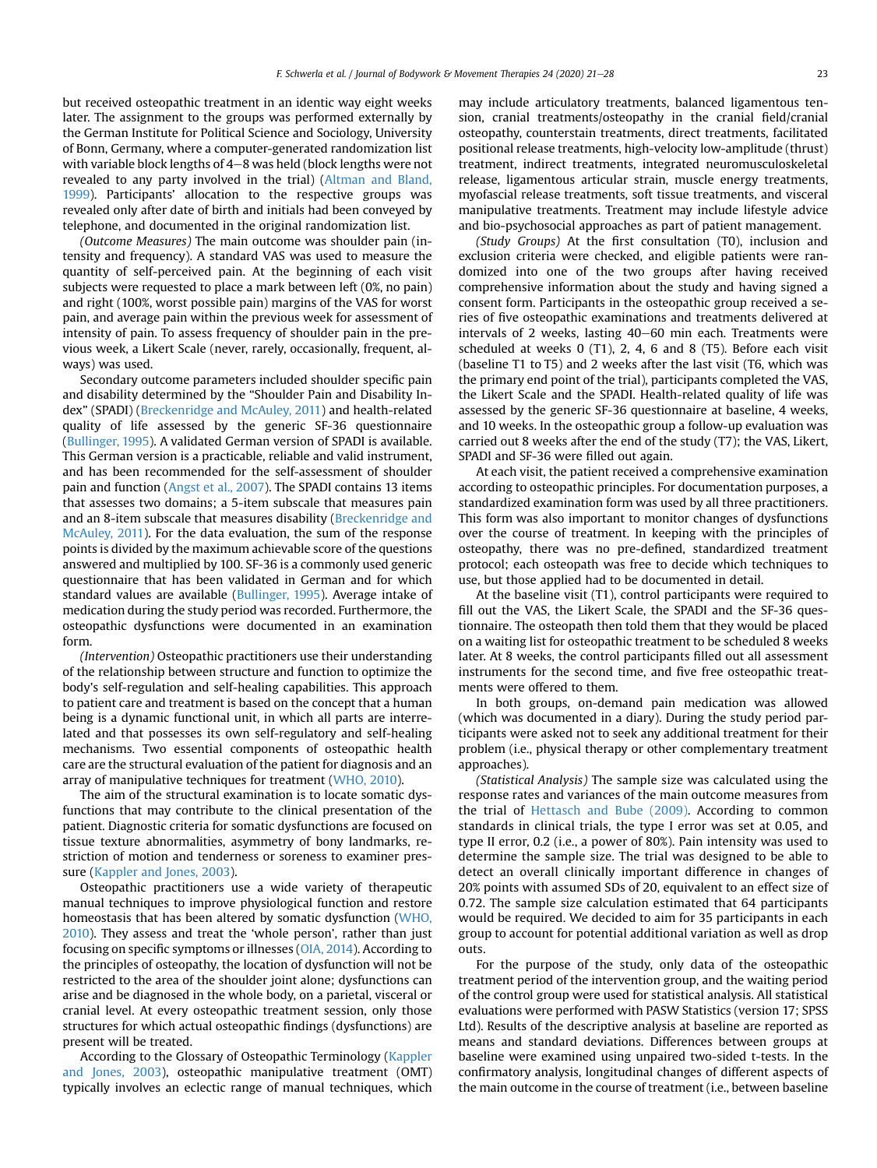but received osteopathic treatment in an identic way eight weeks later. The assignment to the groups was performed externally by the German Institute for Political Science and Sociology, University of Bonn, Germany, where a computer-generated randomization list with variable block lengths of  $4-8$  was held (block lengths were not revealed to any party involved in the trial) ([Altman and Bland,](#page-7-21) [1999\)](#page-7-21). Participants' allocation to the respective groups was revealed only after date of birth and initials had been conveyed by telephone, and documented in the original randomization list.

(Outcome Measures) The main outcome was shoulder pain (intensity and frequency). A standard VAS was used to measure the quantity of self-perceived pain. At the beginning of each visit subjects were requested to place a mark between left (0%, no pain) and right (100%, worst possible pain) margins of the VAS for worst pain, and average pain within the previous week for assessment of intensity of pain. To assess frequency of shoulder pain in the previous week, a Likert Scale (never, rarely, occasionally, frequent, always) was used.

Secondary outcome parameters included shoulder specific pain and disability determined by the "Shoulder Pain and Disability Index" (SPADI) ([Breckenridge and McAuley, 2011](#page-7-22)) and health-related quality of life assessed by the generic SF-36 questionnaire ([Bullinger, 1995](#page-7-23)). A validated German version of SPADI is available. This German version is a practicable, reliable and valid instrument, and has been recommended for the self-assessment of shoulder pain and function ([Angst et al., 2007\)](#page-7-24). The SPADI contains 13 items that assesses two domains; a 5-item subscale that measures pain and an 8-item subscale that measures disability ([Breckenridge and](#page-7-22) [McAuley, 2011\)](#page-7-22). For the data evaluation, the sum of the response points is divided by the maximum achievable score of the questions answered and multiplied by 100. SF-36 is a commonly used generic questionnaire that has been validated in German and for which standard values are available ([Bullinger, 1995\)](#page-7-23). Average intake of medication during the study period was recorded. Furthermore, the osteopathic dysfunctions were documented in an examination form.

(Intervention) Osteopathic practitioners use their understanding of the relationship between structure and function to optimize the body's self-regulation and self-healing capabilities. This approach to patient care and treatment is based on the concept that a human being is a dynamic functional unit, in which all parts are interrelated and that possesses its own self-regulatory and self-healing mechanisms. Two essential components of osteopathic health care are the structural evaluation of the patient for diagnosis and an array of manipulative techniques for treatment [\(WHO, 2010\)](#page-7-25).

The aim of the structural examination is to locate somatic dysfunctions that may contribute to the clinical presentation of the patient. Diagnostic criteria for somatic dysfunctions are focused on tissue texture abnormalities, asymmetry of bony landmarks, restriction of motion and tenderness or soreness to examiner pressure [\(Kappler and Jones, 2003](#page-7-26)).

Osteopathic practitioners use a wide variety of therapeutic manual techniques to improve physiological function and restore homeostasis that has been altered by somatic dysfunction [\(WHO,](#page-7-25) [2010\)](#page-7-25). They assess and treat the 'whole person', rather than just focusing on specific symptoms or illnesses [\(OIA, 2014\)](#page-7-27). According to the principles of osteopathy, the location of dysfunction will not be restricted to the area of the shoulder joint alone; dysfunctions can arise and be diagnosed in the whole body, on a parietal, visceral or cranial level. At every osteopathic treatment session, only those structures for which actual osteopathic findings (dysfunctions) are present will be treated.

According to the Glossary of Osteopathic Terminology [\(Kappler](#page-7-26) [and Jones, 2003\)](#page-7-26), osteopathic manipulative treatment (OMT) typically involves an eclectic range of manual techniques, which may include articulatory treatments, balanced ligamentous tension, cranial treatments/osteopathy in the cranial field/cranial osteopathy, counterstain treatments, direct treatments, facilitated positional release treatments, high-velocity low-amplitude (thrust) treatment, indirect treatments, integrated neuromusculoskeletal release, ligamentous articular strain, muscle energy treatments, myofascial release treatments, soft tissue treatments, and visceral manipulative treatments. Treatment may include lifestyle advice and bio-psychosocial approaches as part of patient management.

(Study Groups) At the first consultation (T0), inclusion and exclusion criteria were checked, and eligible patients were randomized into one of the two groups after having received comprehensive information about the study and having signed a consent form. Participants in the osteopathic group received a series of five osteopathic examinations and treatments delivered at intervals of 2 weeks, lasting  $40-60$  min each. Treatments were scheduled at weeks 0 (T1), 2, 4, 6 and 8 (T5). Before each visit (baseline T1 to T5) and 2 weeks after the last visit (T6, which was the primary end point of the trial), participants completed the VAS, the Likert Scale and the SPADI. Health-related quality of life was assessed by the generic SF-36 questionnaire at baseline, 4 weeks, and 10 weeks. In the osteopathic group a follow-up evaluation was carried out 8 weeks after the end of the study (T7); the VAS, Likert, SPADI and SF-36 were filled out again.

At each visit, the patient received a comprehensive examination according to osteopathic principles. For documentation purposes, a standardized examination form was used by all three practitioners. This form was also important to monitor changes of dysfunctions over the course of treatment. In keeping with the principles of osteopathy, there was no pre-defined, standardized treatment protocol; each osteopath was free to decide which techniques to use, but those applied had to be documented in detail.

At the baseline visit (T1), control participants were required to fill out the VAS, the Likert Scale, the SPADI and the SF-36 questionnaire. The osteopath then told them that they would be placed on a waiting list for osteopathic treatment to be scheduled 8 weeks later. At 8 weeks, the control participants filled out all assessment instruments for the second time, and five free osteopathic treatments were offered to them.

In both groups, on-demand pain medication was allowed (which was documented in a diary). During the study period participants were asked not to seek any additional treatment for their problem (i.e., physical therapy or other complementary treatment approaches).

(Statistical Analysis) The sample size was calculated using the response rates and variances of the main outcome measures from the trial of [Hettasch and Bube \(2009\)](#page-7-20). According to common standards in clinical trials, the type I error was set at 0.05, and type II error, 0.2 (i.e., a power of 80%). Pain intensity was used to determine the sample size. The trial was designed to be able to detect an overall clinically important difference in changes of 20% points with assumed SDs of 20, equivalent to an effect size of 0.72. The sample size calculation estimated that 64 participants would be required. We decided to aim for 35 participants in each group to account for potential additional variation as well as drop outs.

For the purpose of the study, only data of the osteopathic treatment period of the intervention group, and the waiting period of the control group were used for statistical analysis. All statistical evaluations were performed with PASW Statistics (version 17; SPSS Ltd). Results of the descriptive analysis at baseline are reported as means and standard deviations. Differences between groups at baseline were examined using unpaired two-sided t-tests. In the confirmatory analysis, longitudinal changes of different aspects of the main outcome in the course of treatment (i.e., between baseline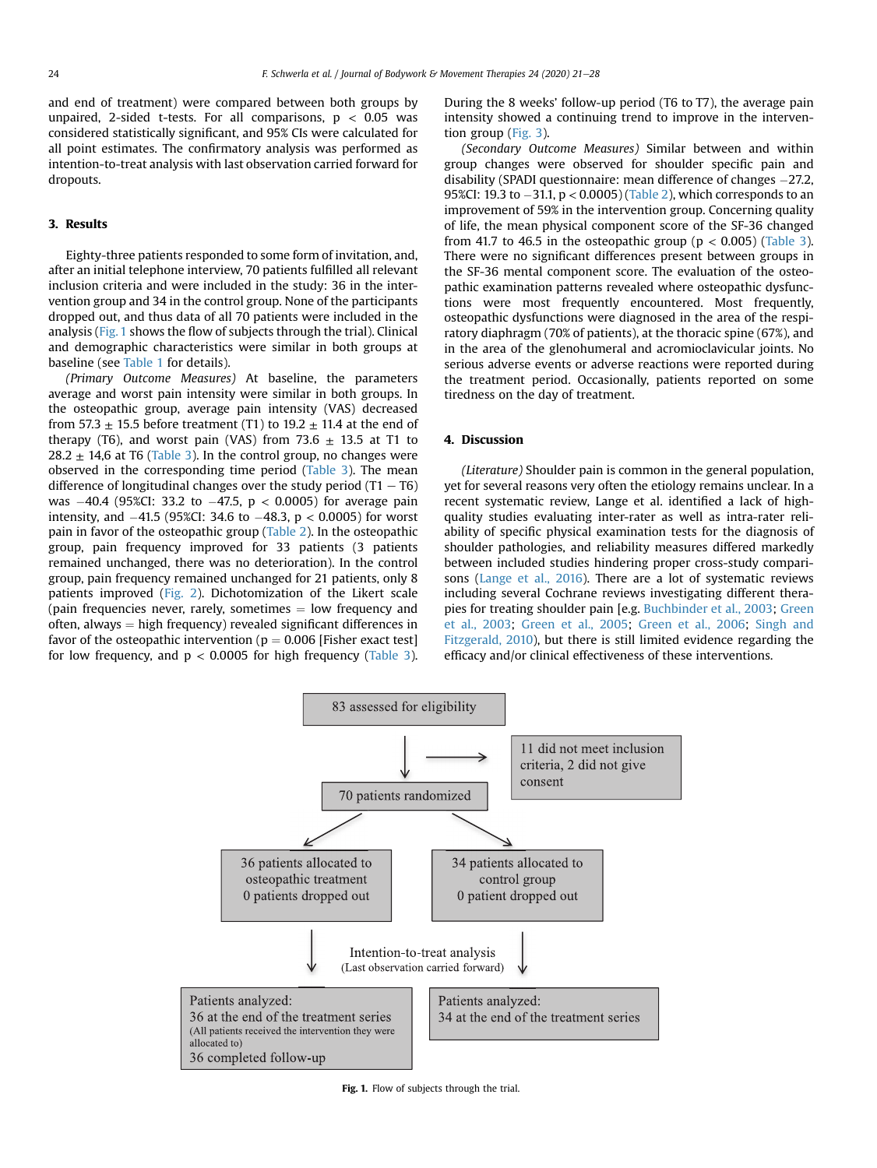and end of treatment) were compared between both groups by unpaired, 2-sided t-tests. For all comparisons,  $p < 0.05$  was considered statistically significant, and 95% CIs were calculated for all point estimates. The confirmatory analysis was performed as intention-to-treat analysis with last observation carried forward for dropouts.

### 3. Results

Eighty-three patients responded to some form of invitation, and, after an initial telephone interview, 70 patients fulfilled all relevant inclusion criteria and were included in the study: 36 in the intervention group and 34 in the control group. None of the participants dropped out, and thus data of all 70 patients were included in the analysis [\(Fig. 1](#page-3-0) shows the flow of subjects through the trial). Clinical and demographic characteristics were similar in both groups at baseline (see [Table 1](#page-4-0) for details).

(Primary Outcome Measures) At baseline, the parameters average and worst pain intensity were similar in both groups. In the osteopathic group, average pain intensity (VAS) decreased from 57.3  $\pm$  15.5 before treatment (T1) to 19.2  $\pm$  11.4 at the end of therapy (T6), and worst pain (VAS) from 73.6  $\pm$  13.5 at T1 to  $28.2 \pm 14.6$  at T6 [\(Table 3](#page-4-1)). In the control group, no changes were observed in the corresponding time period [\(Table 3\)](#page-4-1). The mean difference of longitudinal changes over the study period  $(T1 - T6)$ was  $-40.4$  (95%CI: 33.2 to  $-47.5$ ,  $p < 0.0005$ ) for average pain intensity, and  $-41.5$  (95%CI: 34.6 to  $-48.3$ ,  $p < 0.0005$ ) for worst pain in favor of the osteopathic group [\(Table 2](#page-4-2)). In the osteopathic group, pain frequency improved for 33 patients (3 patients remained unchanged, there was no deterioration). In the control group, pain frequency remained unchanged for 21 patients, only 8 patients improved ([Fig. 2\)](#page-5-0). Dichotomization of the Likert scale (pain frequencies never, rarely, sometimes  $=$  low frequency and often, always  $=$  high frequency) revealed significant differences in favor of the osteopathic intervention ( $p = 0.006$  [Fisher exact test] for low frequency, and  $p < 0.0005$  for high frequency ([Table 3\)](#page-4-1). During the 8 weeks' follow-up period (T6 to T7), the average pain intensity showed a continuing trend to improve in the intervention group ([Fig. 3\)](#page-5-1).

(Secondary Outcome Measures) Similar between and within group changes were observed for shoulder specific pain and disability (SPADI questionnaire: mean difference of changes -27.2, 95%CI: 19.3 to  $-31.1$ ,  $p < 0.0005$ ) ([Table 2](#page-4-2)), which corresponds to an improvement of 59% in the intervention group. Concerning quality of life, the mean physical component score of the SF-36 changed from 41.7 to 46.5 in the osteopathic group ( $p < 0.005$ ) [\(Table 3\)](#page-4-1). There were no significant differences present between groups in the SF-36 mental component score. The evaluation of the osteopathic examination patterns revealed where osteopathic dysfunctions were most frequently encountered. Most frequently, osteopathic dysfunctions were diagnosed in the area of the respiratory diaphragm (70% of patients), at the thoracic spine (67%), and in the area of the glenohumeral and acromioclavicular joints. No serious adverse events or adverse reactions were reported during the treatment period. Occasionally, patients reported on some tiredness on the day of treatment.

## 4. Discussion

(Literature) Shoulder pain is common in the general population, yet for several reasons very often the etiology remains unclear. In a recent systematic review, Lange et al. identified a lack of highquality studies evaluating inter-rater as well as intra-rater reliability of specific physical examination tests for the diagnosis of shoulder pathologies, and reliability measures differed markedly between included studies hindering proper cross-study comparisons ([Lange et al., 2016\)](#page-7-28). There are a lot of systematic reviews including several Cochrane reviews investigating different therapies for treating shoulder pain [e.g. [Buchbinder et al., 2003;](#page-7-7) [Green](#page-7-29) [et al., 2003](#page-7-29); [Green et al., 2005;](#page-7-16) [Green et al., 2006](#page-7-30); [Singh and](#page-7-9) [Fitzgerald, 2010](#page-7-9)), but there is still limited evidence regarding the efficacy and/or clinical effectiveness of these interventions.

<span id="page-3-0"></span>

Fig. 1. Flow of subjects through the trial.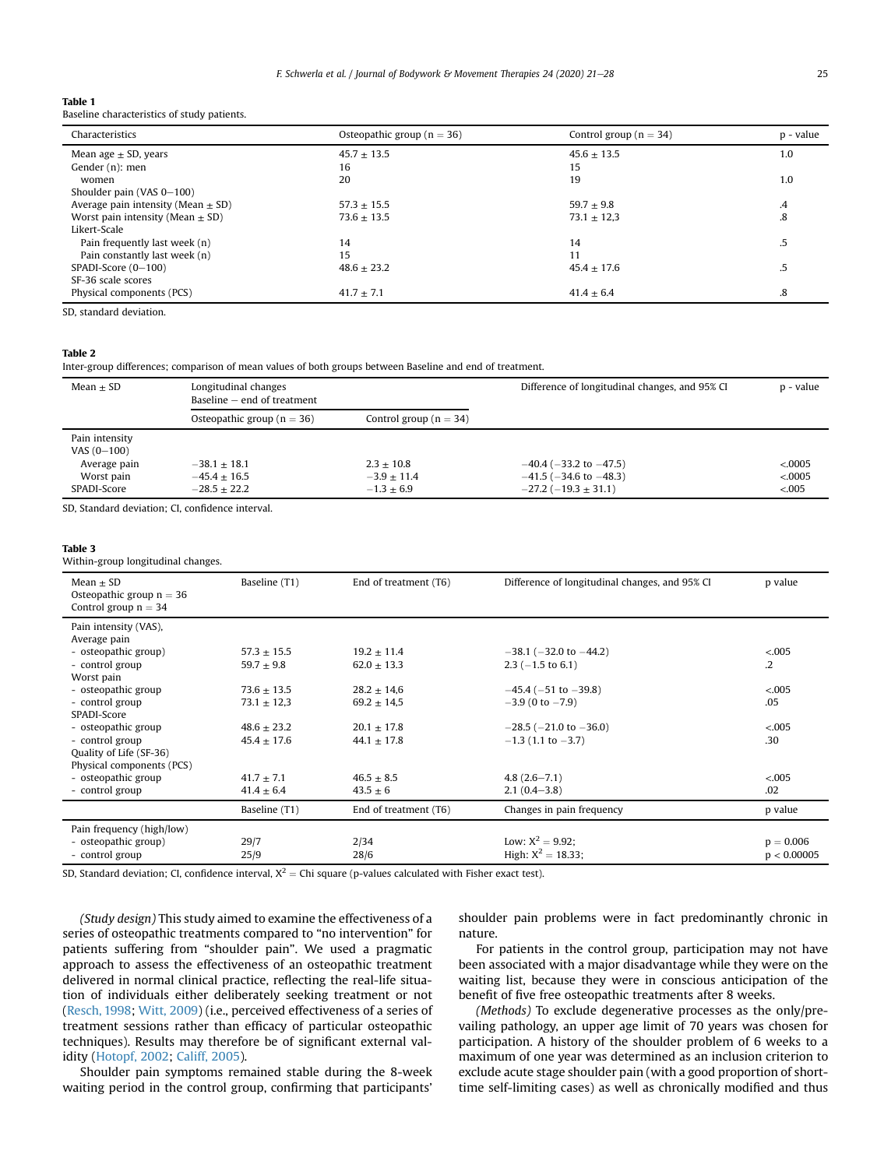<span id="page-4-0"></span>

| Table 1 |                                             |  |
|---------|---------------------------------------------|--|
|         | Baseline characteristics of study patients. |  |

| Characteristics                        | Osteopathic group ( $n = 36$ ) | Control group ( $n = 34$ ) | p - value     |
|----------------------------------------|--------------------------------|----------------------------|---------------|
| Mean age $\pm$ SD, years               | $45.7 + 13.5$                  | $45.6 + 13.5$              | 1.0           |
| Gender (n): men                        | 16                             | 15                         |               |
| women                                  | 20                             | 19                         | 1.0           |
| Shoulder pain (VAS $0-100$ )           |                                |                            |               |
| Average pain intensity (Mean $\pm$ SD) | $57.3 + 15.5$                  | $59.7 + 9.8$               | $\mathcal{A}$ |
| Worst pain intensity (Mean $\pm$ SD)   | $73.6 + 13.5$                  | $73.1 \pm 12.3$            | .8            |
| Likert-Scale                           |                                |                            |               |
| Pain frequently last week (n)          | 14                             | 14                         | 5.            |
| Pain constantly last week (n)          | 15                             | 11                         |               |
| SPADI-Score (0-100)                    | $48.6 + 23.2$                  | $45.4 + 17.6$              | .5            |
| SF-36 scale scores                     |                                |                            |               |
| Physical components (PCS)              | $41.7 \pm 7.1$                 | $41.4 \pm 6.4$             | .8            |

SD, standard deviation.

### <span id="page-4-2"></span>Table 2

Inter-group differences; comparison of mean values of both groups between Baseline and end of treatment.

| $Mean + SD$                                                                  | Longitudinal changes<br>Baseline $-$ end of treatment |                                               | Difference of longitudinal changes, and 95% CI                                                   | p - value                       |
|------------------------------------------------------------------------------|-------------------------------------------------------|-----------------------------------------------|--------------------------------------------------------------------------------------------------|---------------------------------|
|                                                                              | Osteopathic group ( $n = 36$ )                        | Control group ( $n = 34$ )                    |                                                                                                  |                                 |
| Pain intensity<br>VAS $(0-100)$<br>Average pain<br>Worst pain<br>SPADI-Score | $-38.1 + 18.1$<br>$-45.4 + 16.5$<br>$-28.5 + 22.2$    | $2.3 + 10.8$<br>$-3.9 + 11.4$<br>$-1.3 + 6.9$ | $-40.4$ ( $-33.2$ to $-47.5$ )<br>$-41.5$ ( $-34.6$ to $-48.3$ )<br>$-27.2$ ( $-19.3 \pm 31.1$ ) | < 0.0005<br>< 0.0005<br>< 0.005 |

SD, Standard deviation; CI, confidence interval.

#### <span id="page-4-1"></span>Table 3

Within-group longitudinal changes.

| $Mean + SD$<br>Osteopathic group $n = 36$<br>Control group $n = 34$ | Baseline (T1)   | End of treatment (T6) | Difference of longitudinal changes, and 95% CI | p value     |
|---------------------------------------------------------------------|-----------------|-----------------------|------------------------------------------------|-------------|
| Pain intensity (VAS),<br>Average pain                               |                 |                       |                                                |             |
| - osteopathic group)                                                | $57.3 \pm 15.5$ | $19.2 \pm 11.4$       | $-38.1$ ( $-32.0$ to $-44.2$ )                 | < 0.005     |
| - control group                                                     | $59.7 \pm 9.8$  | $62.0 \pm 13.3$       | $2.3$ (-1.5 to 6.1)                            | $\cdot$ .2  |
| Worst pain                                                          |                 |                       |                                                |             |
| - osteopathic group                                                 | $73.6 \pm 13.5$ | $28.2 \pm 14.6$       | $-45.4$ ( $-51$ to $-39.8$ )                   | < .005      |
| - control group                                                     | $73.1 \pm 12.3$ | $69.2 \pm 14.5$       | $-3.9$ (0 to $-7.9$ )                          | .05         |
| SPADI-Score                                                         |                 |                       |                                                |             |
| - osteopathic group                                                 | $48.6 \pm 23.2$ | $20.1 \pm 17.8$       | $-28.5$ ( $-21.0$ to $-36.0$ )                 | < 0.005     |
| - control group                                                     | $45.4 \pm 17.6$ | $44.1 \pm 17.8$       | $-1.3$ (1.1 to $-3.7$ )                        | .30         |
| Quality of Life (SF-36)                                             |                 |                       |                                                |             |
| Physical components (PCS)                                           |                 |                       |                                                |             |
| - osteopathic group                                                 | $41.7 \pm 7.1$  | $46.5 \pm 8.5$        | $4.8(2.6 - 7.1)$                               | < 0.005     |
| - control group                                                     | $41.4 \pm 6.4$  | $43.5 \pm 6$          | $2.1(0.4-3.8)$                                 | .02         |
|                                                                     | Baseline (T1)   | End of treatment (T6) | Changes in pain frequency                      | p value     |
| Pain frequency (high/low)                                           |                 |                       |                                                |             |
| - osteopathic group)                                                | 29/7            | 2/34                  | Low: $X^2 = 9.92$ :                            | $p = 0.006$ |
| - control group                                                     | 25/9            | 28/6                  | High: $X^2 = 18.33$ ;                          | p < 0.00005 |

SD, Standard deviation; CI, confidence interval,  $X^2$  = Chi square (p-values calculated with Fisher exact test).

(Study design) This study aimed to examine the effectiveness of a series of osteopathic treatments compared to "no intervention" for patients suffering from "shoulder pain". We used a pragmatic approach to assess the effectiveness of an osteopathic treatment delivered in normal clinical practice, reflecting the real-life situation of individuals either deliberately seeking treatment or not ([Resch, 1998](#page-7-31); [Witt, 2009](#page-7-32)) (i.e., perceived effectiveness of a series of treatment sessions rather than efficacy of particular osteopathic techniques). Results may therefore be of significant external validity [\(Hotopf, 2002;](#page-7-33) [Califf, 2005\)](#page-7-34).

Shoulder pain symptoms remained stable during the 8-week waiting period in the control group, confirming that participants' shoulder pain problems were in fact predominantly chronic in nature.

For patients in the control group, participation may not have been associated with a major disadvantage while they were on the waiting list, because they were in conscious anticipation of the benefit of five free osteopathic treatments after 8 weeks.

(Methods) To exclude degenerative processes as the only/prevailing pathology, an upper age limit of 70 years was chosen for participation. A history of the shoulder problem of 6 weeks to a maximum of one year was determined as an inclusion criterion to exclude acute stage shoulder pain (with a good proportion of shorttime self-limiting cases) as well as chronically modified and thus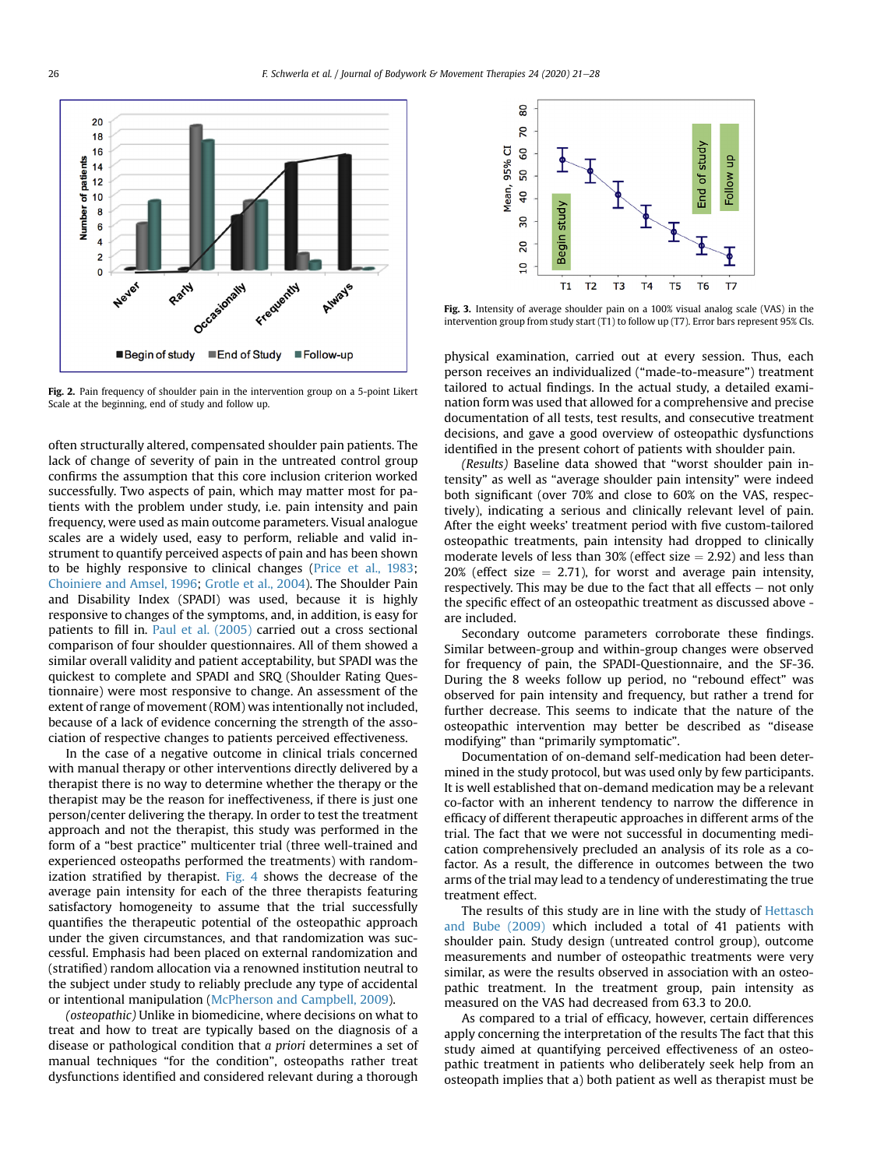<span id="page-5-0"></span>

Fig. 2. Pain frequency of shoulder pain in the intervention group on a 5-point Likert Scale at the beginning, end of study and follow up.

often structurally altered, compensated shoulder pain patients. The lack of change of severity of pain in the untreated control group confirms the assumption that this core inclusion criterion worked successfully. Two aspects of pain, which may matter most for patients with the problem under study, i.e. pain intensity and pain frequency, were used as main outcome parameters. Visual analogue scales are a widely used, easy to perform, reliable and valid instrument to quantify perceived aspects of pain and has been shown to be highly responsive to clinical changes [\(Price et al., 1983](#page-7-35); [Choiniere and Amsel, 1996;](#page-7-36) [Grotle et al., 2004](#page-7-37)). The Shoulder Pain and Disability Index (SPADI) was used, because it is highly responsive to changes of the symptoms, and, in addition, is easy for patients to fill in. [Paul et al. \(2005\)](#page-7-38) carried out a cross sectional comparison of four shoulder questionnaires. All of them showed a similar overall validity and patient acceptability, but SPADI was the quickest to complete and SPADI and SRQ (Shoulder Rating Questionnaire) were most responsive to change. An assessment of the extent of range of movement (ROM) was intentionally not included, because of a lack of evidence concerning the strength of the association of respective changes to patients perceived effectiveness.

In the case of a negative outcome in clinical trials concerned with manual therapy or other interventions directly delivered by a therapist there is no way to determine whether the therapy or the therapist may be the reason for ineffectiveness, if there is just one person/center delivering the therapy. In order to test the treatment approach and not the therapist, this study was performed in the form of a "best practice" multicenter trial (three well-trained and experienced osteopaths performed the treatments) with randomization stratified by therapist. [Fig. 4](#page-6-0) shows the decrease of the average pain intensity for each of the three therapists featuring satisfactory homogeneity to assume that the trial successfully quantifies the therapeutic potential of the osteopathic approach under the given circumstances, and that randomization was successful. Emphasis had been placed on external randomization and (stratified) random allocation via a renowned institution neutral to the subject under study to reliably preclude any type of accidental or intentional manipulation [\(McPherson and Campbell, 2009\)](#page-7-39).

(osteopathic) Unlike in biomedicine, where decisions on what to treat and how to treat are typically based on the diagnosis of a disease or pathological condition that a priori determines a set of manual techniques "for the condition", osteopaths rather treat dysfunctions identified and considered relevant during a thorough

<span id="page-5-1"></span>

Fig. 3. Intensity of average shoulder pain on a 100% visual analog scale (VAS) in the intervention group from study start (T1) to follow up (T7). Error bars represent 95% CIs.

physical examination, carried out at every session. Thus, each person receives an individualized ("made-to-measure") treatment tailored to actual findings. In the actual study, a detailed examination form was used that allowed for a comprehensive and precise documentation of all tests, test results, and consecutive treatment decisions, and gave a good overview of osteopathic dysfunctions identified in the present cohort of patients with shoulder pain.

(Results) Baseline data showed that "worst shoulder pain intensity" as well as "average shoulder pain intensity" were indeed both significant (over 70% and close to 60% on the VAS, respectively), indicating a serious and clinically relevant level of pain. After the eight weeks' treatment period with five custom-tailored osteopathic treatments, pain intensity had dropped to clinically moderate levels of less than 30% (effect size  $= 2.92$ ) and less than  $20\%$  (effect size  $= 2.71$ ), for worst and average pain intensity, respectively. This may be due to the fact that all effects  $-$  not only the specific effect of an osteopathic treatment as discussed above are included.

Secondary outcome parameters corroborate these findings. Similar between-group and within-group changes were observed for frequency of pain, the SPADI-Questionnaire, and the SF-36. During the 8 weeks follow up period, no "rebound effect" was observed for pain intensity and frequency, but rather a trend for further decrease. This seems to indicate that the nature of the osteopathic intervention may better be described as "disease modifying" than "primarily symptomatic".

Documentation of on-demand self-medication had been determined in the study protocol, but was used only by few participants. It is well established that on-demand medication may be a relevant co-factor with an inherent tendency to narrow the difference in efficacy of different therapeutic approaches in different arms of the trial. The fact that we were not successful in documenting medication comprehensively precluded an analysis of its role as a cofactor. As a result, the difference in outcomes between the two arms of the trial may lead to a tendency of underestimating the true treatment effect.

The results of this study are in line with the study of [Hettasch](#page-7-20) [and Bube \(2009\)](#page-7-20) which included a total of 41 patients with shoulder pain. Study design (untreated control group), outcome measurements and number of osteopathic treatments were very similar, as were the results observed in association with an osteopathic treatment. In the treatment group, pain intensity as measured on the VAS had decreased from 63.3 to 20.0.

As compared to a trial of efficacy, however, certain differences apply concerning the interpretation of the results The fact that this study aimed at quantifying perceived effectiveness of an osteopathic treatment in patients who deliberately seek help from an osteopath implies that a) both patient as well as therapist must be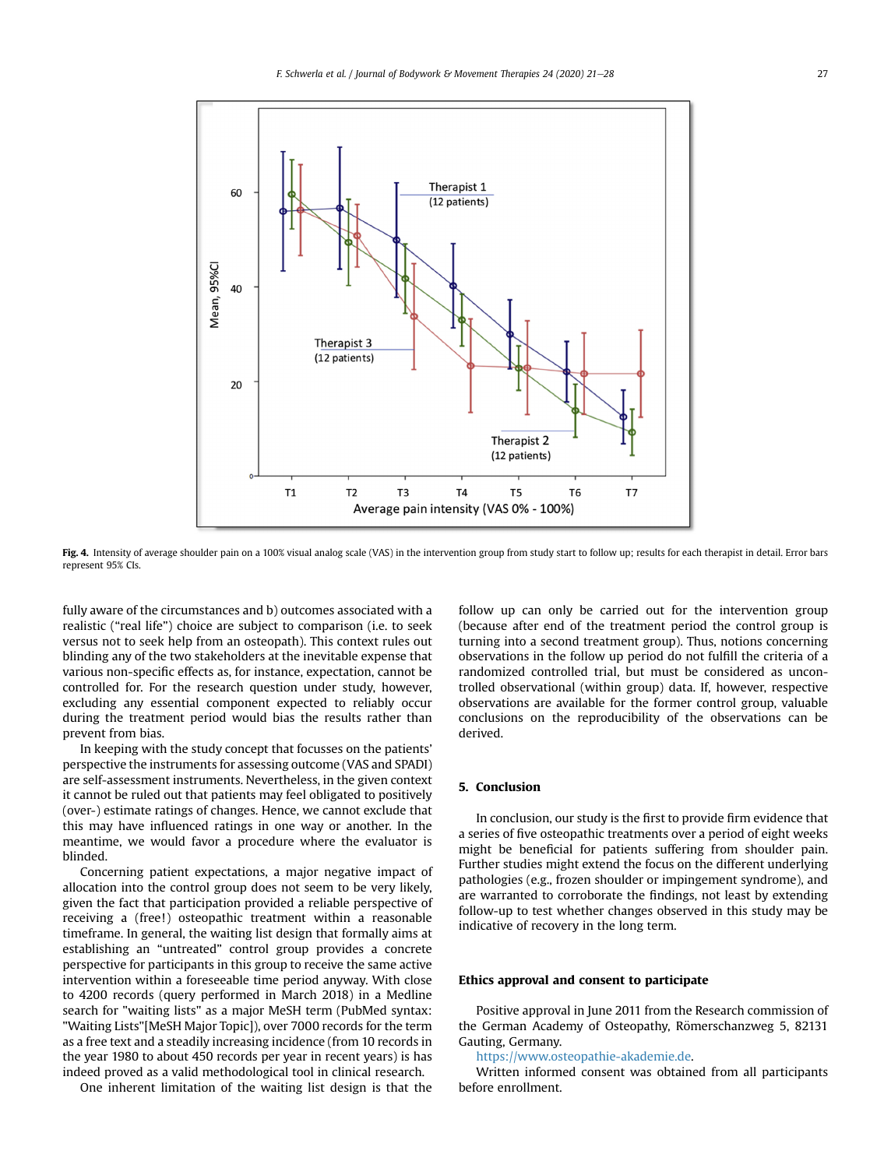<span id="page-6-0"></span>

Fig. 4. Intensity of average shoulder pain on a 100% visual analog scale (VAS) in the intervention group from study start to follow up; results for each therapist in detail. Error bars represent 95% CIs.

fully aware of the circumstances and b) outcomes associated with a realistic ("real life") choice are subject to comparison (i.e. to seek versus not to seek help from an osteopath). This context rules out blinding any of the two stakeholders at the inevitable expense that various non-specific effects as, for instance, expectation, cannot be controlled for. For the research question under study, however, excluding any essential component expected to reliably occur during the treatment period would bias the results rather than prevent from bias.

In keeping with the study concept that focusses on the patients' perspective the instruments for assessing outcome (VAS and SPADI) are self-assessment instruments. Nevertheless, in the given context it cannot be ruled out that patients may feel obligated to positively (over-) estimate ratings of changes. Hence, we cannot exclude that this may have influenced ratings in one way or another. In the meantime, we would favor a procedure where the evaluator is blinded.

Concerning patient expectations, a major negative impact of allocation into the control group does not seem to be very likely, given the fact that participation provided a reliable perspective of receiving a (free!) osteopathic treatment within a reasonable timeframe. In general, the waiting list design that formally aims at establishing an "untreated" control group provides a concrete perspective for participants in this group to receive the same active intervention within a foreseeable time period anyway. With close to 4200 records (query performed in March 2018) in a Medline search for "waiting lists" as a major MeSH term (PubMed syntax: "Waiting Lists"[MeSH Major Topic]), over 7000 records for the term as a free text and a steadily increasing incidence (from 10 records in the year 1980 to about 450 records per year in recent years) is has indeed proved as a valid methodological tool in clinical research.

One inherent limitation of the waiting list design is that the

follow up can only be carried out for the intervention group (because after end of the treatment period the control group is turning into a second treatment group). Thus, notions concerning observations in the follow up period do not fulfill the criteria of a randomized controlled trial, but must be considered as uncontrolled observational (within group) data. If, however, respective observations are available for the former control group, valuable conclusions on the reproducibility of the observations can be derived.

# 5. Conclusion

In conclusion, our study is the first to provide firm evidence that a series of five osteopathic treatments over a period of eight weeks might be beneficial for patients suffering from shoulder pain. Further studies might extend the focus on the different underlying pathologies (e.g., frozen shoulder or impingement syndrome), and are warranted to corroborate the findings, not least by extending follow-up to test whether changes observed in this study may be indicative of recovery in the long term.

#### Ethics approval and consent to participate

Positive approval in June 2011 from the Research commission of the German Academy of Osteopathy, Römerschanzweg 5, 82131 Gauting, Germany.

<https://www.osteopathie-akademie.de>.

Written informed consent was obtained from all participants before enrollment.